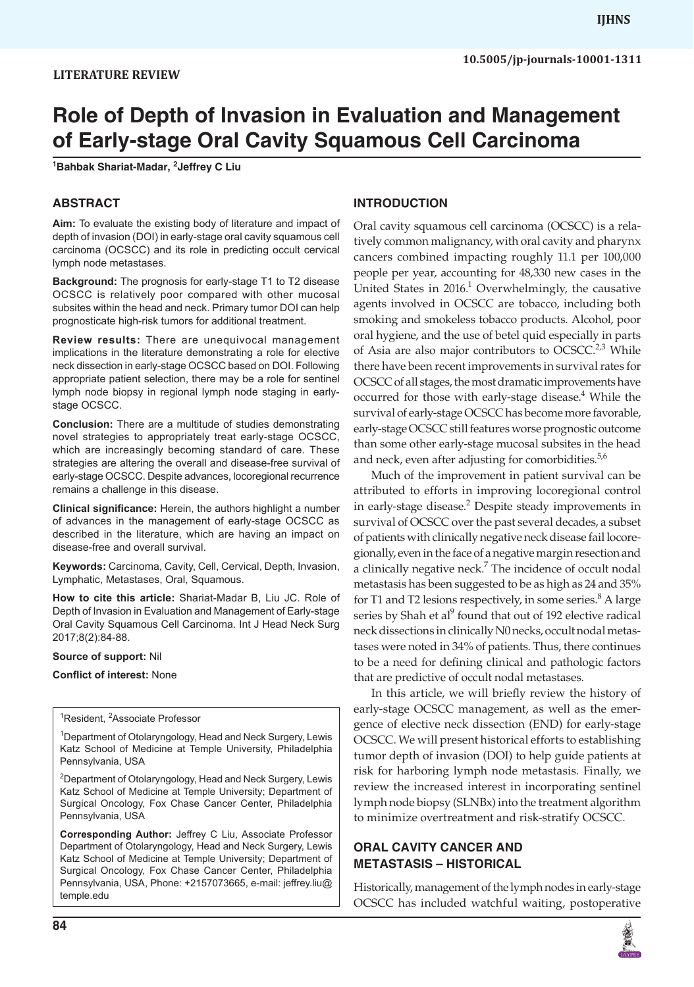# **Role of Depth of Invasion in Evaluation and Management of Early-stage Oral Cavity Squamous Cell Carcinoma**

**1 Bahbak Shariat-Madar, <sup>2</sup> Jeffrey C Liu**

#### **ABSTRACT**

**Aim:** To evaluate the existing body of literature and impact of depth of invasion (DOI) in early-stage oral cavity squamous cell carcinoma (OCSCC) and its role in predicting occult cervical lymph node metastases.

**Background:** The prognosis for early-stage T1 to T2 disease OCSCC is relatively poor compared with other mucosal subsites within the head and neck. Primary tumor DOI can help prognosticate high-risk tumors for additional treatment.

**Review results:** There are unequivocal management implications in the literature demonstrating a role for elective neck dissection in early-stage OCSCC based on DOI. Following appropriate patient selection, there may be a role for sentinel lymph node biopsy in regional lymph node staging in earlystage OCSCC.

**Conclusion:** There are a multitude of studies demonstrating novel strategies to appropriately treat early-stage OCSCC, which are increasingly becoming standard of care. These strategies are altering the overall and disease-free survival of early-stage OCSCC. Despite advances, locoregional recurrence remains a challenge in this disease.

**Clinical significance:** Herein, the authors highlight a number of advances in the management of early-stage OCSCC as described in the literature, which are having an impact on disease-free and overall survival.

**Keywords:** Carcinoma, Cavity, Cell, Cervical, Depth, Invasion, Lymphatic, Metastases, Oral, Squamous.

**How to cite this article:** Shariat-Madar B, Liu JC. Role of Depth of Invasion in Evaluation and Management of Early-stage Oral Cavity Squamous Cell Carcinoma. Int J Head Neck Surg 2017;8(2):84-88.

**Source of support:** Nil

**Conflict of interest:** None

<sup>1</sup>Resident, <sup>2</sup>Associate Professor

<sup>1</sup>Department of Otolaryngology, Head and Neck Surgery, Lewis Katz School of Medicine at Temple University, Philadelphia Pennsylvania, USA

<sup>2</sup>Department of Otolaryngology, Head and Neck Surgery, Lewis Katz School of Medicine at Temple University; Department of Surgical Oncology, Fox Chase Cancer Center, Philadelphia Pennsylvania, USA

**Corresponding Author:** Jeffrey C Liu, Associate Professor Department of Otolaryngology, Head and Neck Surgery, Lewis Katz School of Medicine at Temple University; Department of Surgical Oncology, Fox Chase Cancer Center, Philadelphia Pennsylvania, USA, Phone: +2157073665, e-mail: jeffrey.liu@ temple.edu

### **INTRODUCTION**

Oral cavity squamous cell carcinoma (OCSCC) is a relatively common malignancy, with oral cavity and pharynx cancers combined impacting roughly 11.1 per 100,000 people per year, accounting for 48,330 new cases in the United States in  $2016$ .<sup>1</sup> Overwhelmingly, the causative agents involved in OCSCC are tobacco, including both smoking and smokeless tobacco products. Alcohol, poor oral hygiene, and the use of betel quid especially in parts of Asia are also major contributors to OCSCC.<sup>2,3</sup> While there have been recent improvements in survival rates for OCSCC of all stages, the most dramatic improvements have occurred for those with early-stage disease.<sup>4</sup> While the survival of early-stage OCSCC has become more favorable, early-stage OCSCC still features worse prognostic outcome than some other early-stage mucosal subsites in the head and neck, even after adjusting for comorbidities.<sup>5,6</sup>

Much of the improvement in patient survival can be attributed to efforts in improving locoregional control in early-stage disease.<sup>2</sup> Despite steady improvements in survival of OCSCC over the past several decades, a subset of patients with clinically negative neck disease fail locoregionally, even in the face of a negative margin resection and a clinically negative neck.<sup>7</sup> The incidence of occult nodal metastasis has been suggested to be as high as 24 and 35% for T1 and T2 lesions respectively, in some series.<sup>8</sup> A large series by Shah et al<sup>9</sup> found that out of 192 elective radical neck dissections in clinically N0 necks, occult nodal metastases were noted in 34% of patients. Thus, there continues to be a need for defining clinical and pathologic factors that are predictive of occult nodal metastases.

In this article, we will briefly review the history of early-stage OCSCC management, as well as the emergence of elective neck dissection (END) for early-stage OCSCC. We will present historical efforts to establishing tumor depth of invasion (DOI) to help guide patients at risk for harboring lymph node metastasis. Finally, we review the increased interest in incorporating sentinel lymph node biopsy (SLNBx) into the treatment algorithm to minimize overtreatment and risk-stratify OCSCC.

#### **ORAL CAVITY CANCER AND METASTASIS – HISTORICAL**

Historically, management of the lymph nodes in early-stage OCSCC has included watchful waiting, postoperative

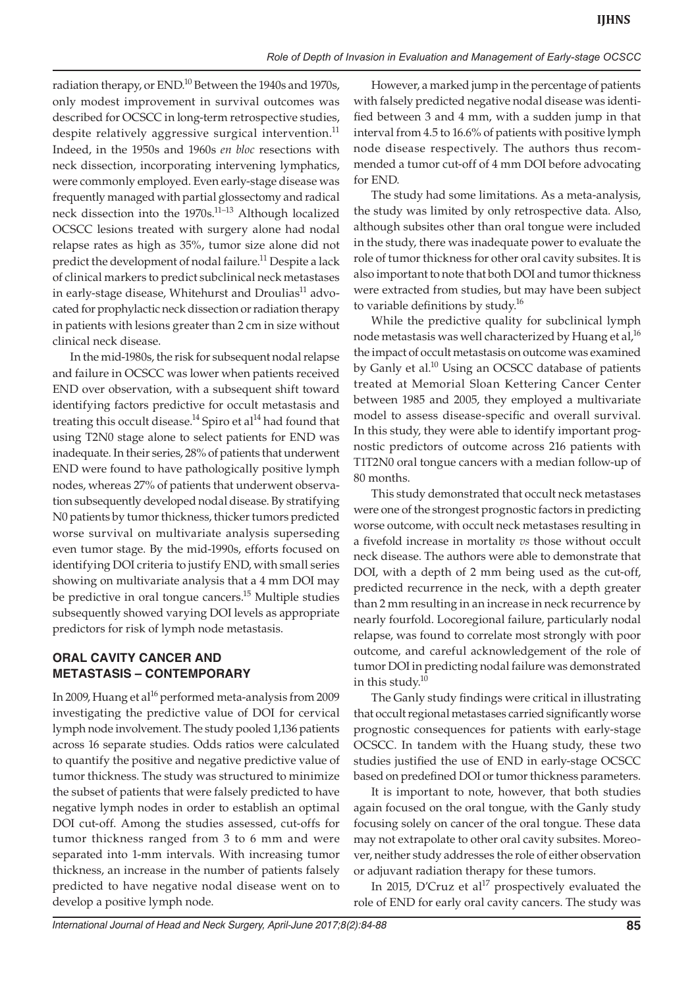radiation therapy, or END.<sup>10</sup> Between the 1940s and 1970s, only modest improvement in survival outcomes was described for OCSCC in long-term retrospective studies, despite relatively aggressive surgical intervention.<sup>11</sup> Indeed, in the 1950s and 1960s *en bloc* resections with neck dissection, incorporating intervening lymphatics, were commonly employed. Even early-stage disease was frequently managed with partial glossectomy and radical neck dissection into the  $1970s$ .<sup>11-13</sup> Although localized OCSCC lesions treated with surgery alone had nodal relapse rates as high as 35%, tumor size alone did not predict the development of nodal failure.<sup>11</sup> Despite a lack of clinical markers to predict subclinical neck metastases in early-stage disease, Whitehurst and Droulias<sup>11</sup> advocated for prophylactic neck dissection or radiation therapy in patients with lesions greater than 2 cm in size without clinical neck disease.

In the mid-1980s, the risk for subsequent nodal relapse and failure in OCSCC was lower when patients received END over observation, with a subsequent shift toward identifying factors predictive for occult metastasis and treating this occult disease.<sup>14</sup> Spiro et al<sup>14</sup> had found that using T2N0 stage alone to select patients for END was inadequate. In their series, 28% of patients that underwent END were found to have pathologically positive lymph nodes, whereas 27% of patients that underwent observation subsequently developed nodal disease. By stratifying N0 patients by tumor thickness, thicker tumors predicted worse survival on multivariate analysis superseding even tumor stage. By the mid-1990s, efforts focused on identifying DOI criteria to justify END, with small series showing on multivariate analysis that a 4 mm DOI may be predictive in oral tongue cancers.<sup>15</sup> Multiple studies subsequently showed varying DOI levels as appropriate predictors for risk of lymph node metastasis.

# **ORAL CAVITY CANCER AND METASTASIS – CONTEMPORARY**

In 2009, Huang et al<sup>16</sup> performed meta-analysis from 2009 investigating the predictive value of DOI for cervical lymph node involvement. The study pooled 1,136 patients across 16 separate studies. Odds ratios were calculated to quantify the positive and negative predictive value of tumor thickness. The study was structured to minimize the subset of patients that were falsely predicted to have negative lymph nodes in order to establish an optimal DOI cut-off. Among the studies assessed, cut-offs for tumor thickness ranged from 3 to 6 mm and were separated into 1-mm intervals. With increasing tumor thickness, an increase in the number of patients falsely predicted to have negative nodal disease went on to develop a positive lymph node.

However, a marked jump in the percentage of patients with falsely predicted negative nodal disease was identified between 3 and 4 mm, with a sudden jump in that interval from 4.5 to 16.6% of patients with positive lymph node disease respectively. The authors thus recommended a tumor cut-off of 4 mm DOI before advocating for END.

The study had some limitations. As a meta-analysis, the study was limited by only retrospective data. Also, although subsites other than oral tongue were included in the study, there was inadequate power to evaluate the role of tumor thickness for other oral cavity subsites. It is also important to note that both DOI and tumor thickness were extracted from studies, but may have been subject to variable definitions by study.<sup>16</sup>

While the predictive quality for subclinical lymph node metastasis was well characterized by Huang et al,  $^{16}$ the impact of occult metastasis on outcome was examined by Ganly et al.<sup>10</sup> Using an OCSCC database of patients treated at Memorial Sloan Kettering Cancer Center between 1985 and 2005, they employed a multivariate model to assess disease-specific and overall survival. In this study, they were able to identify important prognostic predictors of outcome across 216 patients with T1T2N0 oral tongue cancers with a median follow-up of 80 months.

This study demonstrated that occult neck metastases were one of the strongest prognostic factors in predicting worse outcome, with occult neck metastases resulting in a fivefold increase in mortality *vs* those without occult neck disease. The authors were able to demonstrate that DOI, with a depth of 2 mm being used as the cut-off, predicted recurrence in the neck, with a depth greater than 2 mm resulting in an increase in neck recurrence by nearly fourfold. Locoregional failure, particularly nodal relapse, was found to correlate most strongly with poor outcome, and careful acknowledgement of the role of tumor DOI in predicting nodal failure was demonstrated in this study.<sup>10</sup>

The Ganly study findings were critical in illustrating that occult regional metastases carried significantly worse prognostic consequences for patients with early-stage OCSCC. In tandem with the Huang study, these two studies justified the use of END in early-stage OCSCC based on predefined DOI or tumor thickness parameters.

It is important to note, however, that both studies again focused on the oral tongue, with the Ganly study focusing solely on cancer of the oral tongue. These data may not extrapolate to other oral cavity subsites. Moreover, neither study addresses the role of either observation or adjuvant radiation therapy for these tumors.

In 2015, D'Cruz et al $^{17}$  prospectively evaluated the role of END for early oral cavity cancers. The study was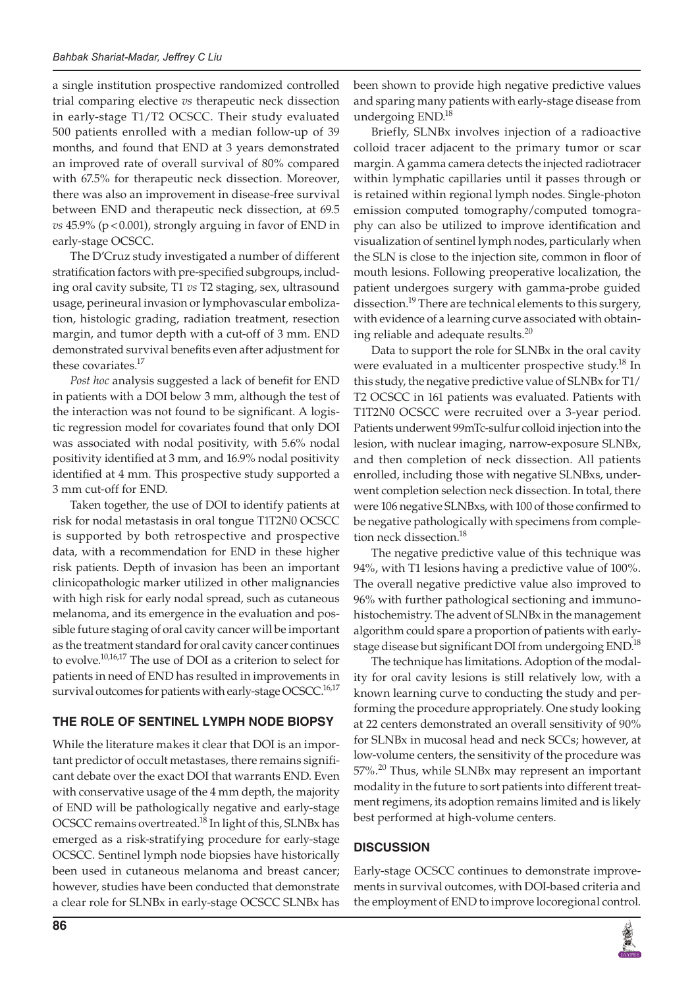a single institution prospective randomized controlled trial comparing elective *vs* therapeutic neck dissection in early-stage T1/T2 OCSCC. Their study evaluated 500 patients enrolled with a median follow-up of 39 months, and found that END at 3 years demonstrated an improved rate of overall survival of 80% compared with 67.5% for therapeutic neck dissection. Moreover, there was also an improvement in disease-free survival between END and therapeutic neck dissection, at 69.5 *vs* 45.9% (p<0.001), strongly arguing in favor of END in early-stage OCSCC.

The D'Cruz study investigated a number of different stratification factors with pre-specified subgroups, including oral cavity subsite, T1 *vs* T2 staging, sex, ultrasound usage, perineural invasion or lymphovascular embolization, histologic grading, radiation treatment, resection margin, and tumor depth with a cut-off of 3 mm. END demonstrated survival benefits even after adjustment for these covariates.<sup>17</sup>

*Post hoc* analysis suggested a lack of benefit for END in patients with a DOI below 3 mm, although the test of the interaction was not found to be significant. A logistic regression model for covariates found that only DOI was associated with nodal positivity, with 5.6% nodal positivity identified at 3 mm, and 16.9% nodal positivity identified at 4 mm. This prospective study supported a 3 mm cut-off for END.

Taken together, the use of DOI to identify patients at risk for nodal metastasis in oral tongue T1T2N0 OCSCC is supported by both retrospective and prospective data, with a recommendation for END in these higher risk patients. Depth of invasion has been an important clinicopathologic marker utilized in other malignancies with high risk for early nodal spread, such as cutaneous melanoma, and its emergence in the evaluation and possible future staging of oral cavity cancer will be important as the treatment standard for oral cavity cancer continues to evolve.10,16,17 The use of DOI as a criterion to select for patients in need of END has resulted in improvements in survival outcomes for patients with early-stage OCSCC.<sup>16,17</sup>

#### **THE ROLE OF SENTINEL LYMPH NODE BIOPSY**

While the literature makes it clear that DOI is an important predictor of occult metastases, there remains significant debate over the exact DOI that warrants END. Even with conservative usage of the 4 mm depth, the majority of END will be pathologically negative and early-stage OCSCC remains overtreated.<sup>18</sup> In light of this, SLNBx has emerged as a risk-stratifying procedure for early-stage OCSCC. Sentinel lymph node biopsies have historically been used in cutaneous melanoma and breast cancer; however, studies have been conducted that demonstrate a clear role for SLNBx in early-stage OCSCC SLNBx has

been shown to provide high negative predictive values and sparing many patients with early-stage disease from undergoing END.<sup>18</sup>

Briefly, SLNBx involves injection of a radioactive colloid tracer adjacent to the primary tumor or scar margin. A gamma camera detects the injected radiotracer within lymphatic capillaries until it passes through or is retained within regional lymph nodes. Single-photon emission computed tomography/computed tomography can also be utilized to improve identification and visualization of sentinel lymph nodes, particularly when the SLN is close to the injection site, common in floor of mouth lesions. Following preoperative localization, the patient undergoes surgery with gamma-probe guided dissection.<sup>19</sup> There are technical elements to this surgery, with evidence of a learning curve associated with obtaining reliable and adequate results.<sup>20</sup>

Data to support the role for SLNBx in the oral cavity were evaluated in a multicenter prospective study.<sup>18</sup> In this study, the negative predictive value of SLNBx for T1/ T2 OCSCC in 161 patients was evaluated. Patients with T1T2N0 OCSCC were recruited over a 3-year period. Patients underwent 99mTc-sulfur colloid injection into the lesion, with nuclear imaging, narrow-exposure SLNBx, and then completion of neck dissection. All patients enrolled, including those with negative SLNBxs, underwent completion selection neck dissection. In total, there were 106 negative SLNBxs, with 100 of those confirmed to be negative pathologically with specimens from completion neck dissection.<sup>18</sup>

The negative predictive value of this technique was 94%, with T1 lesions having a predictive value of 100%. The overall negative predictive value also improved to 96% with further pathological sectioning and immunohistochemistry. The advent of SLNBx in the management algorithm could spare a proportion of patients with earlystage disease but significant DOI from undergoing END.<sup>18</sup>

The technique has limitations. Adoption of the modality for oral cavity lesions is still relatively low, with a known learning curve to conducting the study and performing the procedure appropriately. One study looking at 22 centers demonstrated an overall sensitivity of 90% for SLNBx in mucosal head and neck SCCs; however, at low-volume centers, the sensitivity of the procedure was 57%.<sup>20</sup> Thus, while SLNBx may represent an important modality in the future to sort patients into different treatment regimens, its adoption remains limited and is likely best performed at high-volume centers.

#### **DISCUSSION**

Early-stage OCSCC continues to demonstrate improvements in survival outcomes, with DOI-based criteria and the employment of END to improve locoregional control.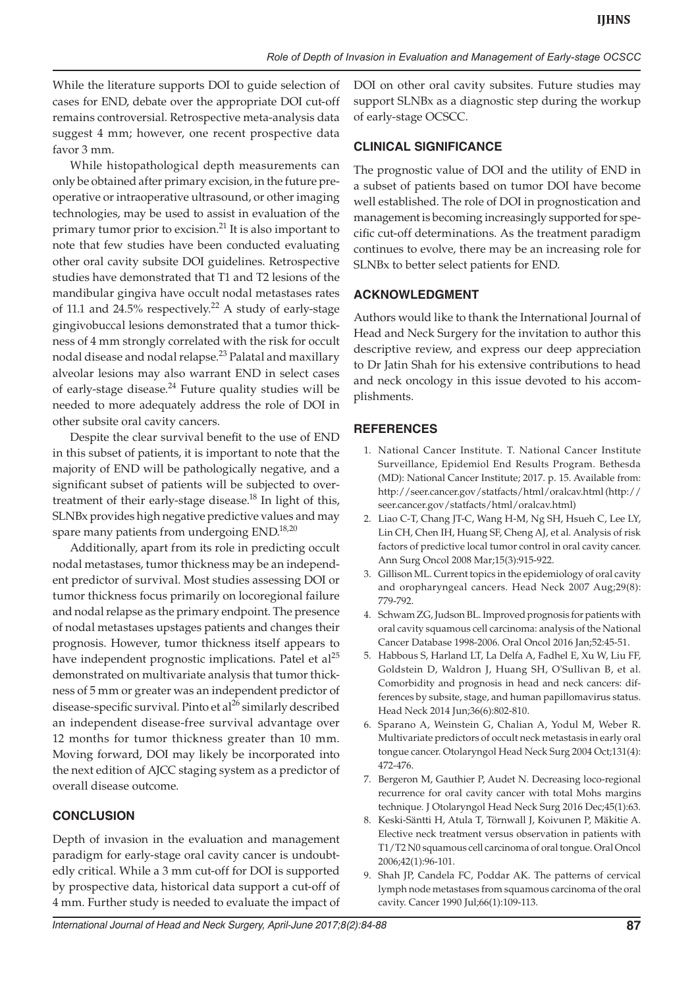While the literature supports DOI to guide selection of cases for END, debate over the appropriate DOI cut-off remains controversial. Retrospective meta-analysis data suggest 4 mm; however, one recent prospective data favor 3 mm.

While histopathological depth measurements can only be obtained after primary excision, in the future preoperative or intraoperative ultrasound, or other imaging technologies, may be used to assist in evaluation of the primary tumor prior to excision.<sup>21</sup> It is also important to note that few studies have been conducted evaluating other oral cavity subsite DOI guidelines. Retrospective studies have demonstrated that T1 and T2 lesions of the mandibular gingiva have occult nodal metastases rates of 11.1 and 24.5% respectively.<sup>22</sup> A study of early-stage gingivobuccal lesions demonstrated that a tumor thickness of 4 mm strongly correlated with the risk for occult nodal disease and nodal relapse.<sup>23</sup> Palatal and maxillary alveolar lesions may also warrant END in select cases of early-stage disease. $^{24}$  Future quality studies will be needed to more adequately address the role of DOI in other subsite oral cavity cancers.

Despite the clear survival benefit to the use of END in this subset of patients, it is important to note that the majority of END will be pathologically negative, and a significant subset of patients will be subjected to overtreatment of their early-stage disease.<sup>18</sup> In light of this, SLNBx provides high negative predictive values and may spare many patients from undergoing END.<sup>18,20</sup>

Additionally, apart from its role in predicting occult nodal metastases, tumor thickness may be an independent predictor of survival. Most studies assessing DOI or tumor thickness focus primarily on locoregional failure and nodal relapse as the primary endpoint. The presence of nodal metastases upstages patients and changes their prognosis. However, tumor thickness itself appears to have independent prognostic implications. Patel et al<sup>25</sup> demonstrated on multivariate analysis that tumor thickness of 5 mm or greater was an independent predictor of disease-specific survival. Pinto et al<sup>26</sup> similarly described an independent disease-free survival advantage over 12 months for tumor thickness greater than 10 mm. Moving forward, DOI may likely be incorporated into the next edition of AJCC staging system as a predictor of overall disease outcome.

# **CONCLUSION**

Depth of invasion in the evaluation and management paradigm for early-stage oral cavity cancer is undoubtedly critical. While a 3 mm cut-off for DOI is supported by prospective data, historical data support a cut-off of 4 mm. Further study is needed to evaluate the impact of DOI on other oral cavity subsites. Future studies may support SLNBx as a diagnostic step during the workup of early-stage OCSCC.

# **CLINICAL SIGNIFICANCE**

The prognostic value of DOI and the utility of END in a subset of patients based on tumor DOI have become well established. The role of DOI in prognostication and management is becoming increasingly supported for specific cut-off determinations. As the treatment paradigm continues to evolve, there may be an increasing role for SLNBx to better select patients for END.

# **ACKNOWLEDGMENT**

Authors would like to thank the International Journal of Head and Neck Surgery for the invitation to author this descriptive review, and express our deep appreciation to Dr Jatin Shah for his extensive contributions to head and neck oncology in this issue devoted to his accomplishments.

# **REFERENCES**

- 1. National Cancer Institute. T. National Cancer Institute Surveillance, Epidemiol End Results Program. Bethesda (MD): National Cancer Institute; 2017. p. 15. Available from: http://seer.cancer.gov/statfacts/html/oralcav.html (http:// seer.cancer.gov/statfacts/html/oralcav.html)
- 2. Liao C-T, Chang JT-C, Wang H-M, Ng SH, Hsueh C, Lee LY, Lin CH, Chen IH, Huang SF, Cheng AJ, et al. Analysis of risk factors of predictive local tumor control in oral cavity cancer. Ann Surg Oncol 2008 Mar;15(3):915-922.
- 3. Gillison ML. Current topics in the epidemiology of oral cavity and oropharyngeal cancers. Head Neck 2007 Aug;29(8): 779-792.
- 4. Schwam ZG, Judson BL. Improved prognosis for patients with oral cavity squamous cell carcinoma: analysis of the National Cancer Database 1998-2006. Oral Oncol 2016 Jan;52:45-51.
- 5. Habbous S, Harland LT, La Delfa A, Fadhel E, Xu W, Liu FF, Goldstein D, Waldron J, Huang SH, O'Sullivan B, et al. Comorbidity and prognosis in head and neck cancers: differences by subsite, stage, and human papillomavirus status. Head Neck 2014 Jun;36(6):802-810.
- 6. Sparano A, Weinstein G, Chalian A, Yodul M, Weber R. Multivariate predictors of occult neck metastasis in early oral tongue cancer. Otolaryngol Head Neck Surg 2004 Oct;131(4): 472-476.
- 7. Bergeron M, Gauthier P, Audet N. Decreasing loco-regional recurrence for oral cavity cancer with total Mohs margins technique. J Otolaryngol Head Neck Surg 2016 Dec;45(1):63.
- 8. Keski-Säntti H, Atula T, Törnwall J, Koivunen P, Mäkitie A. Elective neck treatment versus observation in patients with T1/T2 N0 squamous cell carcinoma of oral tongue. Oral Oncol 2006;42(1):96-101.
- 9. Shah JP, Candela FC, Poddar AK. The patterns of cervical lymph node metastases from squamous carcinoma of the oral cavity. Cancer 1990 Jul;66(1):109-113.